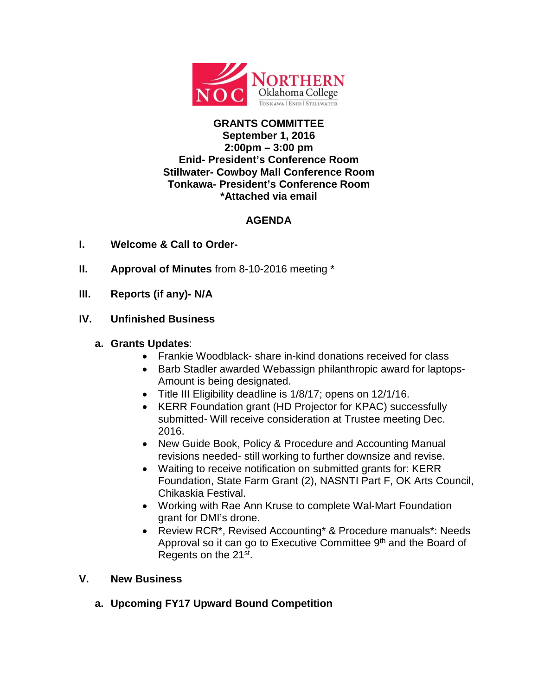

### **GRANTS COMMITTEE September 1, 2016 2:00pm – 3:00 pm Enid- President's Conference Room Stillwater- Cowboy Mall Conference Room Tonkawa- President's Conference Room \*Attached via email**

# **AGENDA**

- **I. Welcome & Call to Order-**
- **II. Approval of Minutes** from 8-10-2016 meeting \*
- **III. Reports (if any)- N/A**

## **IV. Unfinished Business**

## **a. Grants Updates**:

- Frankie Woodblack- share in-kind donations received for class
- Barb Stadler awarded Webassign philanthropic award for laptops-Amount is being designated.
- Title III Eligibility deadline is 1/8/17; opens on 12/1/16.
- KERR Foundation grant (HD Projector for KPAC) successfully submitted- Will receive consideration at Trustee meeting Dec. 2016.
- New Guide Book, Policy & Procedure and Accounting Manual revisions needed- still working to further downsize and revise.
- Waiting to receive notification on submitted grants for: KERR Foundation, State Farm Grant (2), NASNTI Part F, OK Arts Council, Chikaskia Festival.
- Working with Rae Ann Kruse to complete Wal-Mart Foundation grant for DMI's drone.
- Review RCR\*, Revised Accounting\* & Procedure manuals\*: Needs Approval so it can go to Executive Committee 9<sup>th</sup> and the Board of Regents on the 21st.

### **V. New Business**

**a. Upcoming FY17 Upward Bound Competition**